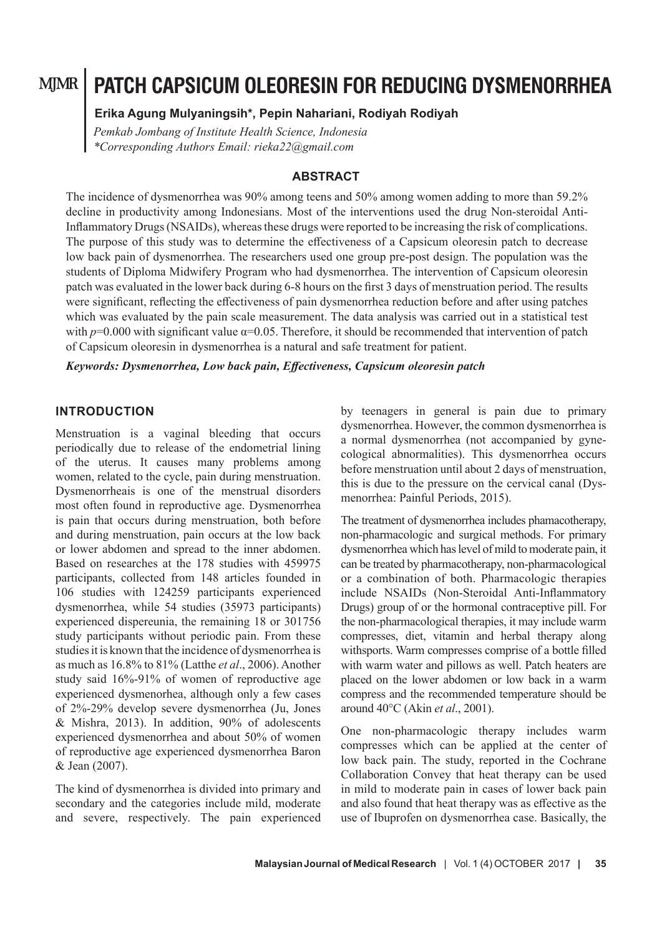# **PATCH CAPSICUM OLEORESIN FOR REDUCING DYSMENORRHEA**

#### **Erika Agung Mulyaningsih\*, Pepin Nahariani, Rodiyah Rodiyah**

*Pemkab Jombang of Institute Health Science, Indonesia \*Corresponding Authors Email: rieka22@gmail.com*

### **ABSTRACT**

The incidence of dysmenorrhea was 90% among teens and 50% among women adding to more than 59.2% decline in productivity among Indonesians. Most of the interventions used the drug Non-steroidal Anti-Inflammatory Drugs (NSAIDs), whereas these drugs were reported to be increasing the risk of complications. The purpose of this study was to determine the effectiveness of a Capsicum oleoresin patch to decrease low back pain of dysmenorrhea. The researchers used one group pre-post design. The population was the students of Diploma Midwifery Program who had dysmenorrhea. The intervention of Capsicum oleoresin patch was evaluated in the lower back during 6-8 hours on the first 3 days of menstruation period. The results were significant, reflecting the effectiveness of pain dysmenorrhea reduction before and after using patches which was evaluated by the pain scale measurement. The data analysis was carried out in a statistical test with  $p=0.000$  with significant value  $\alpha=0.05$ . Therefore, it should be recommended that intervention of patch of Capsicum oleoresin in dysmenorrhea is a natural and safe treatment for patient.

*Keywords: Dysmenorrhea, Low back pain, Effectiveness, Capsicum oleoresin patch*

### **INTRODUCTION**

Menstruation is a vaginal bleeding that occurs periodically due to release of the endometrial lining of the uterus. It causes many problems among women, related to the cycle, pain during menstruation. Dysmenorrheais is one of the menstrual disorders most often found in reproductive age. Dysmenorrhea is pain that occurs during menstruation, both before and during menstruation, pain occurs at the low back or lower abdomen and spread to the inner abdomen. Based on researches at the 178 studies with 459975 participants, collected from 148 articles founded in 106 studies with 124259 participants experienced dysmenorrhea, while 54 studies (35973 participants) experienced dispereunia, the remaining 18 or 301756 study participants without periodic pain. From these studies it is known that the incidence of dysmenorrhea is as much as 16.8% to 81% (Latthe *et al*., 2006). Another study said 16%-91% of women of reproductive age experienced dysmenorhea, although only a few cases of 2%-29% develop severe dysmenorrhea (Ju, Jones & Mishra, 2013). In addition, 90% of adolescents experienced dysmenorrhea and about 50% of women of reproductive age experienced dysmenorrhea Baron & Jean (2007).

The kind of dysmenorrhea is divided into primary and secondary and the categories include mild, moderate and severe, respectively. The pain experienced by teenagers in general is pain due to primary dysmenorrhea. However, the common dysmenorrhea is a normal dysmenorrhea (not accompanied by gynecological abnormalities). This dysmenorrhea occurs before menstruation until about 2 days of menstruation, this is due to the pressure on the cervical canal (Dysmenorrhea: Painful Periods, 2015).

The treatment of dysmenorrhea includes phamacotherapy, non-pharmacologic and surgical methods. For primary dysmenorrhea which has level of mild to moderate pain, it can be treated by pharmacotherapy, non-pharmacological or a combination of both. Pharmacologic therapies include NSAIDs (Non-Steroidal Anti-Inflammatory Drugs) group of or the hormonal contraceptive pill. For the non-pharmacological therapies, it may include warm compresses, diet, vitamin and herbal therapy along withsports. Warm compresses comprise of a bottle filled with warm water and pillows as well. Patch heaters are placed on the lower abdomen or low back in a warm compress and the recommended temperature should be around 40°C (Akin *et al*., 2001).

One non-pharmacologic therapy includes warm compresses which can be applied at the center of low back pain. The study, reported in the Cochrane Collaboration Convey that heat therapy can be used in mild to moderate pain in cases of lower back pain and also found that heat therapy was as effective as the use of Ibuprofen on dysmenorrhea case. Basically, the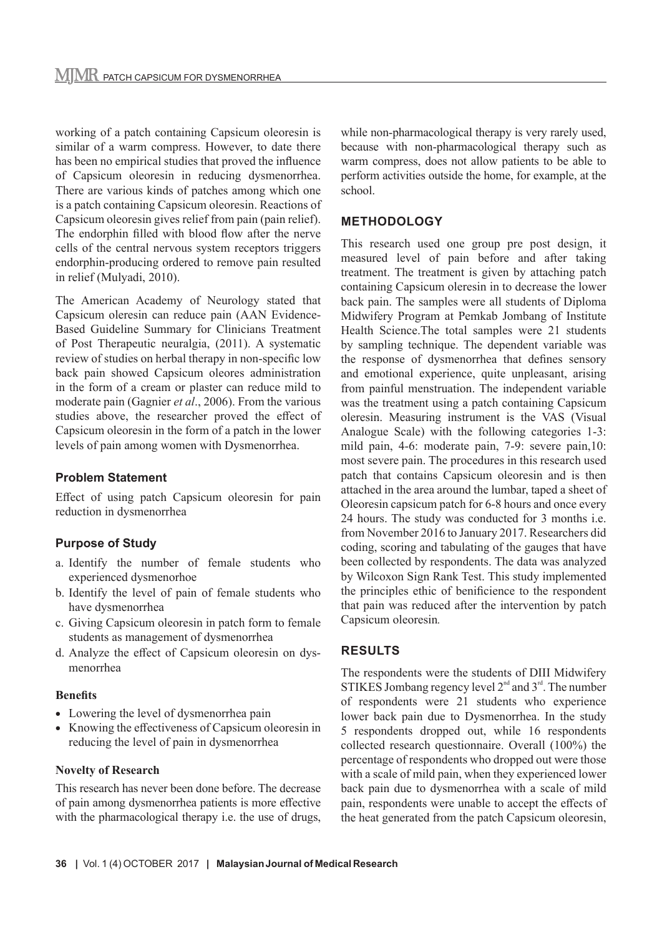working of a patch containing Capsicum oleoresin is similar of a warm compress. However, to date there has been no empirical studies that proved the influence of Capsicum oleoresin in reducing dysmenorrhea. There are various kinds of patches among which one is a patch containing Capsicum oleoresin. Reactions of Capsicum oleoresin gives relief from pain (pain relief). The endorphin filled with blood flow after the nerve cells of the central nervous system receptors triggers endorphin-producing ordered to remove pain resulted in relief (Mulyadi, 2010).

The American Academy of Neurology stated that Capsicum oleresin can reduce pain (AAN Evidence-Based Guideline Summary for Clinicians Treatment of Post Therapeutic neuralgia, (2011). A systematic review of studies on herbal therapy in non-specific low back pain showed Capsicum oleores administration in the form of a cream or plaster can reduce mild to moderate pain (Gagnier *et al*., 2006). From the various studies above, the researcher proved the effect of Capsicum oleoresin in the form of a patch in the lower levels of pain among women with Dysmenorrhea.

# **Problem Statement**

Effect of using patch Capsicum oleoresin for pain reduction in dysmenorrhea

# **Purpose of Study**

- a. Identify the number of female students who experienced dysmenorhoe
- b. Identify the level of pain of female students who have dysmenorrhea
- c. Giving Capsicum oleoresin in patch form to female students as management of dysmenorrhea
- d. Analyze the effect of Capsicum oleoresin on dysmenorrhea

#### **Benefits**

- Lowering the level of dysmenorrhea pain
- Knowing the effectiveness of Capsicum oleoresin in reducing the level of pain in dysmenorrhea

# **Novelty of Research**

This research has never been done before. The decrease of pain among dysmenorrhea patients is more effective with the pharmacological therapy i.e. the use of drugs, while non-pharmacological therapy is very rarely used, because with non-pharmacological therapy such as warm compress, does not allow patients to be able to perform activities outside the home, for example, at the school.

# **METHODOLOGY**

This research used one group pre post design, it measured level of pain before and after taking treatment. The treatment is given by attaching patch containing Capsicum oleresin in to decrease the lower back pain. The samples were all students of Diploma Midwifery Program at Pemkab Jombang of Institute Health Science.The total samples were 21 students by sampling technique. The dependent variable was the response of dysmenorrhea that defines sensory and emotional experience, quite unpleasant, arising from painful menstruation. The independent variable was the treatment using a patch containing Capsicum oleresin. Measuring instrument is the VAS (Visual Analogue Scale) with the following categories 1-3: mild pain, 4-6: moderate pain, 7-9: severe pain,10: most severe pain. The procedures in this research used patch that contains Capsicum oleoresin and is then attached in the area around the lumbar, taped a sheet of Oleoresin capsicum patch for 6-8 hours and once every 24 hours. The study was conducted for 3 months i.e. from November 2016 to January 2017. Researchers did coding, scoring and tabulating of the gauges that have been collected by respondents. The data was analyzed by Wilcoxon Sign Rank Test. This study implemented the principles ethic of benificience to the respondent that pain was reduced after the intervention by patch Capsicum oleoresin*.*

# **RESULTS**

The respondents were the students of DIII Midwifery STIKES Jombang regency level  $2<sup>nd</sup>$  and  $3<sup>rd</sup>$ . The number of respondents were 21 students who experience lower back pain due to Dysmenorrhea. In the study 5 respondents dropped out, while 16 respondents collected research questionnaire. Overall (100%) the percentage of respondents who dropped out were those with a scale of mild pain, when they experienced lower back pain due to dysmenorrhea with a scale of mild pain, respondents were unable to accept the effects of the heat generated from the patch Capsicum oleoresin,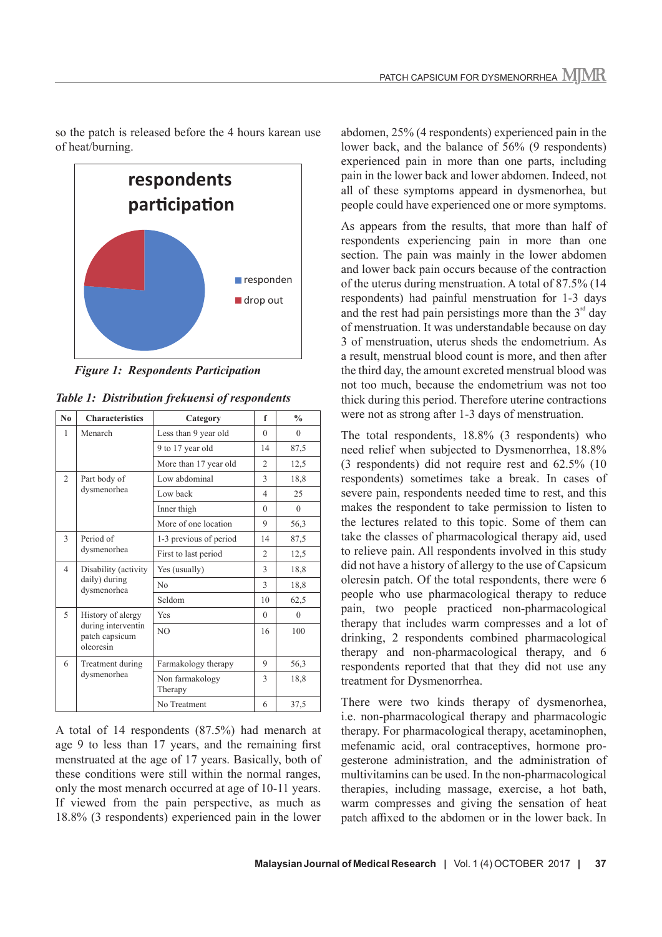

so the patch is released before the 4 hours karean use of heat/burning.

*Figure 1: Respondents Participation*

| N <sub>0</sub> | <b>Characteristics</b>                                                 | Category                   | f                        | $\frac{0}{0}$ |
|----------------|------------------------------------------------------------------------|----------------------------|--------------------------|---------------|
| 1              | Menarch                                                                | Less than 9 year old       | $\Omega$                 | $\theta$      |
|                |                                                                        | 9 to 17 year old           | 14                       | 87,5          |
|                |                                                                        | More than 17 year old      | $\overline{c}$           | 12,5          |
| $\mathfrak{D}$ | Part body of<br>dysmenorhea                                            | Low abdominal              | 3                        | 18.8          |
|                |                                                                        | Low back                   | $\overline{\mathcal{A}}$ | 25            |
|                |                                                                        | Inner thigh                | $\theta$                 | $\theta$      |
|                |                                                                        | More of one location       | 9                        | 56,3          |
| 3              | Period of<br>dysmenorhea                                               | 1-3 previous of period     | 14                       | 87,5          |
|                |                                                                        | First to last period       | $\overline{c}$           | 12,5          |
| $\overline{4}$ | Disability (activity<br>daily) during<br>dysmenorhea                   | Yes (usually)              | 3                        | 18,8          |
|                |                                                                        | N <sub>0</sub>             | 3                        | 18,8          |
|                |                                                                        | Seldom                     | 10                       | 62,5          |
| 5              | History of alergy<br>during interventin<br>patch capsicum<br>oleoresin | Yes                        | $\Omega$                 | $\theta$      |
|                |                                                                        | N <sub>O</sub>             | 16                       | 100           |
| 6              | Treatment during<br>dysmenorhea                                        | Farmakology therapy        | 9                        | 56,3          |
|                |                                                                        | Non farmakology<br>Therapy | 3                        | 18,8          |
|                |                                                                        | No Treatment               | 6                        | 37,5          |

*Table 1: Distribution frekuensi of respondents*

A total of 14 respondents (87.5%) had menarch at age 9 to less than 17 years, and the remaining first menstruated at the age of 17 years. Basically, both of these conditions were still within the normal ranges, only the most menarch occurred at age of 10-11 years. If viewed from the pain perspective, as much as 18.8% (3 respondents) experienced pain in the lower

abdomen, 25% (4 respondents) experienced pain in the lower back, and the balance of 56% (9 respondents) experienced pain in more than one parts, including pain in the lower back and lower abdomen. Indeed, not all of these symptoms appeard in dysmenorhea, but people could have experienced one or more symptoms.

As appears from the results, that more than half of respondents experiencing pain in more than one section. The pain was mainly in the lower abdomen and lower back pain occurs because of the contraction of the uterus during menstruation. A total of 87.5% (14 respondents) had painful menstruation for 1-3 days and the rest had pain persistings more than the  $3<sup>rd</sup>$  day of menstruation. It was understandable because on day 3 of menstruation, uterus sheds the endometrium. As a result, menstrual blood count is more, and then after the third day, the amount excreted menstrual blood was not too much, because the endometrium was not too thick during this period. Therefore uterine contractions were not as strong after 1-3 days of menstruation.

The total respondents, 18.8% (3 respondents) who need relief when subjected to Dysmenorrhea, 18.8% (3 respondents) did not require rest and 62.5% (10 respondents) sometimes take a break. In cases of severe pain, respondents needed time to rest, and this makes the respondent to take permission to listen to the lectures related to this topic. Some of them can take the classes of pharmacological therapy aid, used to relieve pain. All respondents involved in this study did not have a history of allergy to the use of Capsicum oleresin patch. Of the total respondents, there were 6 people who use pharmacological therapy to reduce pain, two people practiced non-pharmacological therapy that includes warm compresses and a lot of drinking, 2 respondents combined pharmacological therapy and non-pharmacological therapy, and 6 respondents reported that that they did not use any treatment for Dysmenorrhea.

There were two kinds therapy of dysmenorhea, i.e. non-pharmacological therapy and pharmacologic therapy. For pharmacological therapy, acetaminophen, mefenamic acid, oral contraceptives, hormone progesterone administration, and the administration of multivitamins can be used. In the non-pharmacological therapies, including massage, exercise, a hot bath, warm compresses and giving the sensation of heat patch affixed to the abdomen or in the lower back. In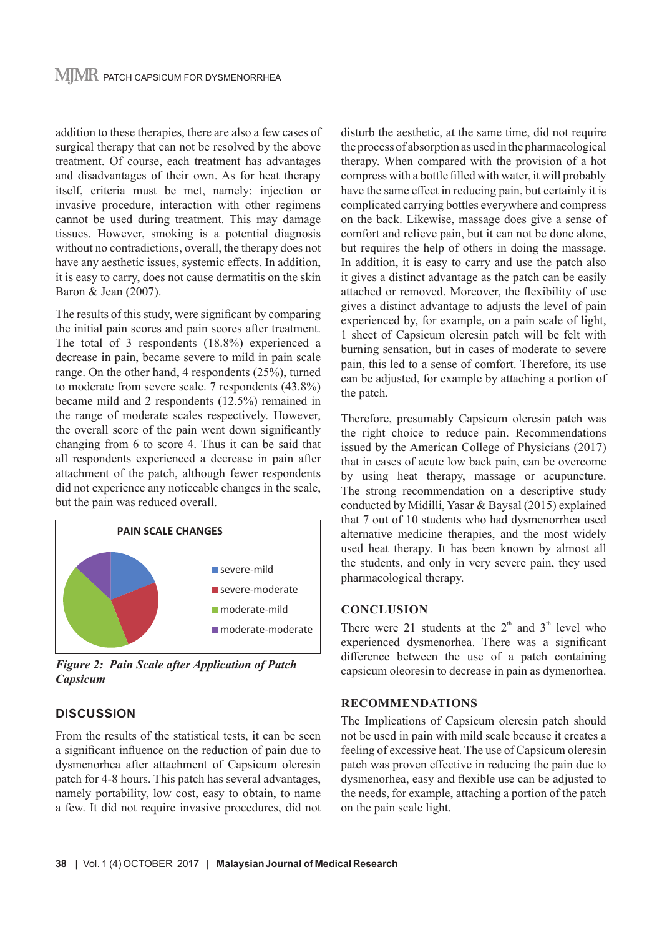addition to these therapies, there are also a few cases of surgical therapy that can not be resolved by the above treatment. Of course, each treatment has advantages and disadvantages of their own. As for heat therapy itself, criteria must be met, namely: injection or invasive procedure, interaction with other regimens cannot be used during treatment. This may damage tissues. However, smoking is a potential diagnosis without no contradictions, overall, the therapy does not have any aesthetic issues, systemic effects. In addition, it is easy to carry, does not cause dermatitis on the skin Baron & Jean (2007).

The results of this study, were significant by comparing the initial pain scores and pain scores after treatment. The total of 3 respondents (18.8%) experienced a decrease in pain, became severe to mild in pain scale range. On the other hand, 4 respondents (25%), turned to moderate from severe scale. 7 respondents (43.8%) became mild and 2 respondents (12.5%) remained in the range of moderate scales respectively. However, the overall score of the pain went down significantly changing from 6 to score 4. Thus it can be said that all respondents experienced a decrease in pain after attachment of the patch, although fewer respondents did not experience any noticeable changes in the scale, but the pain was reduced overall.



*Figure 2: Pain Scale after Application of Patch Capsicum*

#### **DISCUSSION**

From the results of the statistical tests, it can be seen a significant influence on the reduction of pain due to dysmenorhea after attachment of Capsicum oleresin patch for 4-8 hours. This patch has several advantages, namely portability, low cost, easy to obtain, to name a few. It did not require invasive procedures, did not

disturb the aesthetic, at the same time, did not require the process of absorption as used in the pharmacological therapy. When compared with the provision of a hot compress with a bottle filled with water, it will probably have the same effect in reducing pain, but certainly it is complicated carrying bottles everywhere and compress on the back. Likewise, massage does give a sense of comfort and relieve pain, but it can not be done alone, but requires the help of others in doing the massage. In addition, it is easy to carry and use the patch also it gives a distinct advantage as the patch can be easily attached or removed. Moreover, the flexibility of use gives a distinct advantage to adjusts the level of pain experienced by, for example, on a pain scale of light, 1 sheet of Capsicum oleresin patch will be felt with burning sensation, but in cases of moderate to severe pain, this led to a sense of comfort. Therefore, its use can be adjusted, for example by attaching a portion of the patch.

Therefore, presumably Capsicum oleresin patch was the right choice to reduce pain. Recommendations issued by the American College of Physicians (2017) that in cases of acute low back pain, can be overcome by using heat therapy, massage or acupuncture. The strong recommendation on a descriptive study conducted by Midilli, Yasar & Baysal (2015) explained that 7 out of 10 students who had dysmenorrhea used alternative medicine therapies, and the most widely used heat therapy. It has been known by almost all the students, and only in very severe pain, they used pharmacological therapy.

#### **CONCLUSION**

There were 21 students at the  $2<sup>th</sup>$  and  $3<sup>th</sup>$  level who experienced dysmenorhea. There was a significant difference between the use of a patch containing capsicum oleoresin to decrease in pain as dymenorhea.

#### **RECOMMENDATIONS**

The Implications of Capsicum oleresin patch should not be used in pain with mild scale because it creates a feeling of excessive heat. The use of Capsicum oleresin patch was proven effective in reducing the pain due to dysmenorhea, easy and flexible use can be adjusted to the needs, for example, attaching a portion of the patch on the pain scale light.